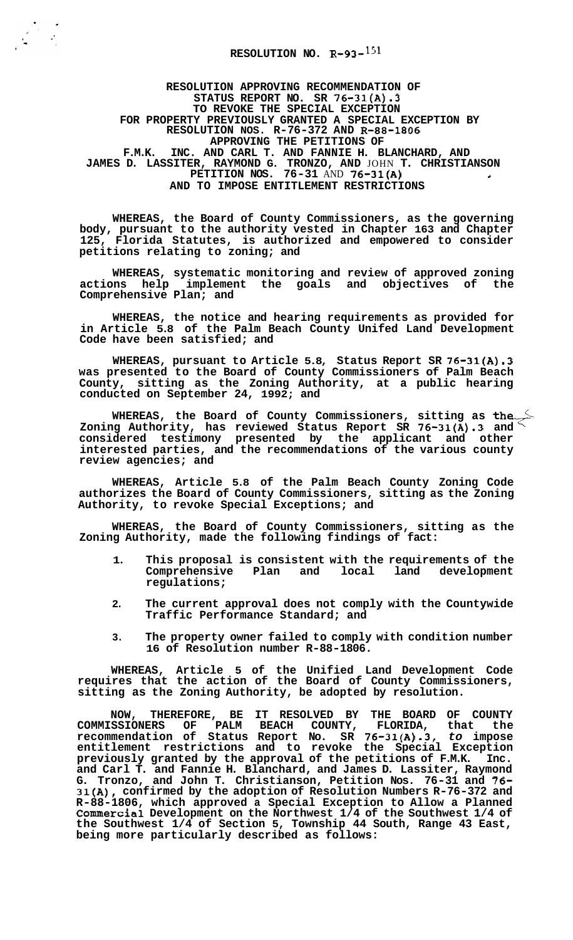**RESOLUTION APPROVING RECOMMENDATION OF STATUS REPORT NO. SR 76-31(A).3 TO REVOKE THE SPECIAL EXCEPTION FOR PROPERTY PREVIOUSLY GRANTED A SPECIAL EXCEPTION BY APPROVING THE PETITIONS OF F.M.K. INC. AND CARL T. AND FANNIE H. BLANCHARD, AND RESOLUTION NOS. R-76-372 AND R-88-1806 JAMES D. LASSITER, RAYMOND G. TRONZO, AND** JOHN **T. CHRISTIANSON PETITION NOS. 76-31** AND **76-31(A) <sup>4</sup> AND TO IMPOSE ENTITLEMENT RESTRICTIONS** 

**WHEREAS, the Board of County Commissioners, as the governing body, pursuant to the authority vested in Chapter 163 and Chapter 125, Florida Statutes, is authorized and empowered to consider petitions relating to zoning; and** 

**WHEREAS, systematic monitoring and review of approved zoning actions help implement the goals and objectives of the Comprehensive Plan; and** 

**WHEREAS, the notice and hearing requirements as provided for in Article 5.8 of the Palm Beach County Unifed Land Development Code have been satisfied; and** 

**WHEREAS, pursuant to Article 5.8, Status Report SR 76-31(A).3 was presented to the Board of County Commissioners of Palm Beach County, sitting as the Zoning Authority, at a public hearing conducted on September 24, 1992; and** 

**WHEREAS, the Board of County Commissioners, sitting as the Zoning Authority, has reviewed Status Report SR 76-31(A).3 and considered testimony presented by the applicant and other interested parties, and the recommendations of the various county review agencies; and** 

**WHEREAS, Article 5.8 of the Palm Beach County Zoning Code authorizes the Board of County Commissioners, sitting as the Zoning Authority, to revoke Special Exceptions; and** 

**WHEREAS, the Board of County Commissioners, sitting as the Zoning Authority, made the following findings of fact:** 

- **1. This proposal is consistent with the requirements of the Comprehensive Plan and local land development regulations;**
- **2. The current approval does not comply with the Countywide Traffic Performance Standard; and**
- **3. The property owner failed to comply with condition number 16 of Resolution number R-88-1806.**

**WHEREAS, Article 5 of the Unified Land Development Code requires that the action of the Board of County Commissioners, sitting as the Zoning Authority, be adopted by resolution.** 

**NOW, THEREFORE, BE IT RESOLVED BY THE BOARD OF COUNTY COMMISSIONERS OF PALM BEACH COUNTY, FLORIDA, that the recommendation of Status Report No. SR 76-31(A) -3,** *to* **impose entitlement restrictions and to revoke the Special Exception previously granted by the approval of the petitions of F.M.K. Inc. and Carl T. and Fannie H. Blanchard, and James D. Lassiter, Raymond G. Tronzo, and John T. Christianson, Petition Nos. 76-31 and 76- 31(A), confirmed by the adoption of Resolution Numbers R-76-372 and R-88-1806, which approved a Special Exception to Allow a Planned Commercial Development on the Northwest 1/4 of the Southwest 1/4 of the Southwest 1/4 of Section 5, Township 44 South, Range 43 East, being more particularly described as follows:**